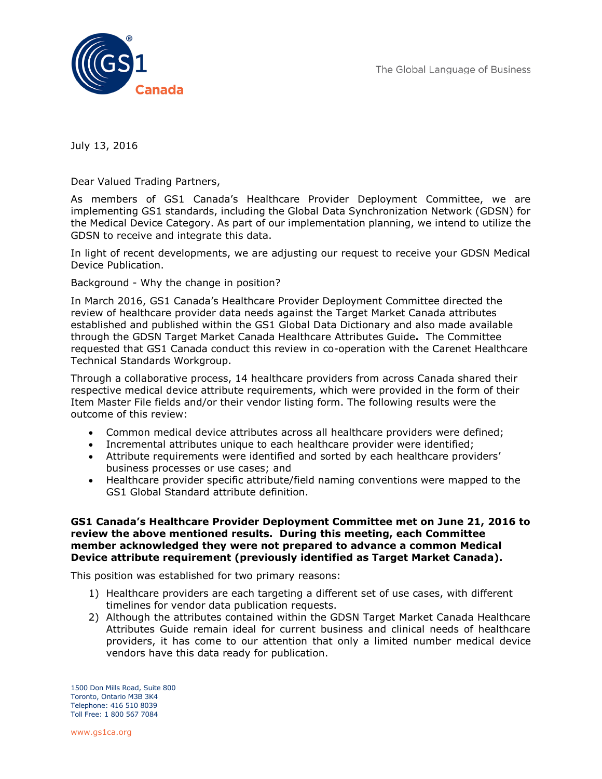The Global Language of Business



July 13, 2016

Dear Valued Trading Partners,

As members of GS1 Canada's Healthcare Provider Deployment Committee, we are implementing GS1 standards, including the Global Data Synchronization Network (GDSN) for the Medical Device Category. As part of our implementation planning, we intend to utilize the GDSN to receive and integrate this data.

In light of recent developments, we are adjusting our request to receive your GDSN Medical Device Publication.

Background - Why the change in position?

In March 2016, GS1 Canada's Healthcare Provider Deployment Committee directed the review of healthcare provider data needs against the Target Market Canada attributes established and published within the GS1 Global Data Dictionary and also made available through the GDSN Target Market Canada Healthcare Attributes Guide**.** The Committee requested that GS1 Canada conduct this review in co-operation with the Carenet Healthcare Technical Standards Workgroup.

Through a collaborative process, 14 healthcare providers from across Canada shared their respective medical device attribute requirements, which were provided in the form of their Item Master File fields and/or their vendor listing form. The following results were the outcome of this review:

- Common medical device attributes across all healthcare providers were defined;
- Incremental attributes unique to each healthcare provider were identified;
- Attribute requirements were identified and sorted by each healthcare providers' business processes or use cases; and
- Healthcare provider specific attribute/field naming conventions were mapped to the GS1 Global Standard attribute definition.

## **GS1 Canada's Healthcare Provider Deployment Committee met on June 21, 2016 to review the above mentioned results. During this meeting, each Committee member acknowledged they were not prepared to advance a common Medical Device attribute requirement (previously identified as Target Market Canada).**

This position was established for two primary reasons:

- 1) Healthcare providers are each targeting a different set of use cases, with different timelines for vendor data publication requests.
- 2) Although the attributes contained within the GDSN Target Market Canada Healthcare Attributes Guide remain ideal for current business and clinical needs of healthcare providers, it has come to our attention that only a limited number medical device vendors have this data ready for publication.

1500 Don Mills Road, Suite 800 Toronto, Ontario M3B 3K4 Telephone: 416 510 8039 Toll Free: 1 800 567 7084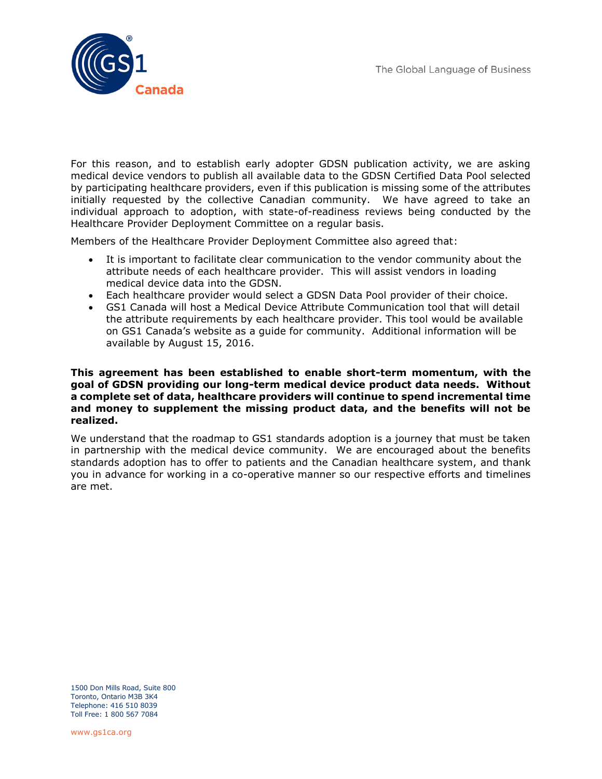

For this reason, and to establish early adopter GDSN publication activity, we are asking medical device vendors to publish all available data to the GDSN Certified Data Pool selected by participating healthcare providers, even if this publication is missing some of the attributes initially requested by the collective Canadian community. We have agreed to take an individual approach to adoption, with state-of-readiness reviews being conducted by the Healthcare Provider Deployment Committee on a regular basis.

Members of the Healthcare Provider Deployment Committee also agreed that:

- It is important to facilitate clear communication to the vendor community about the attribute needs of each healthcare provider. This will assist vendors in loading medical device data into the GDSN.
- Each healthcare provider would select a GDSN Data Pool provider of their choice.
- GS1 Canada will host a Medical Device Attribute Communication tool that will detail the attribute requirements by each healthcare provider. This tool would be available on GS1 Canada's website as a guide for community. Additional information will be available by August 15, 2016.

## **This agreement has been established to enable short-term momentum, with the goal of GDSN providing our long-term medical device product data needs. Without a complete set of data, healthcare providers will continue to spend incremental time and money to supplement the missing product data, and the benefits will not be realized.**

We understand that the roadmap to GS1 standards adoption is a journey that must be taken in partnership with the medical device community. We are encouraged about the benefits standards adoption has to offer to patients and the Canadian healthcare system, and thank you in advance for working in a co-operative manner so our respective efforts and timelines are met.

1500 Don Mills Road, Suite 800 Toronto, Ontario M3B 3K4 Telephone: 416 510 8039 Toll Free: 1 800 567 7084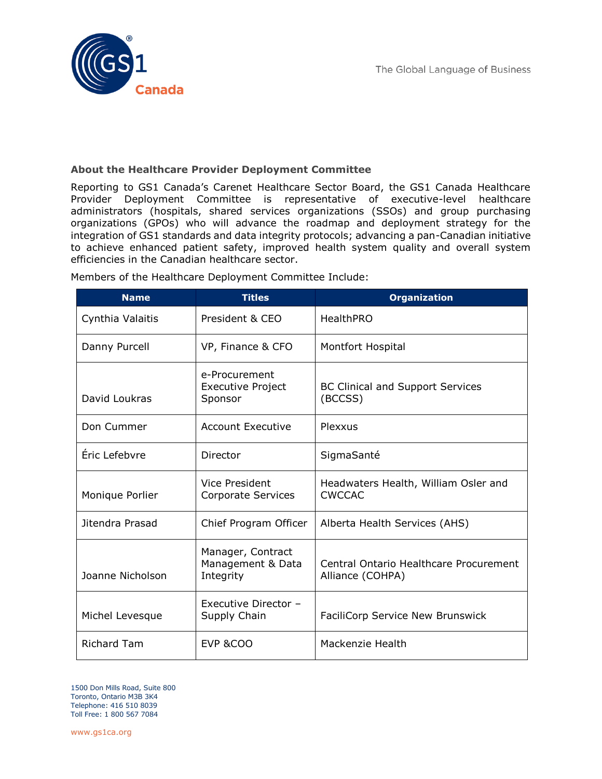

## **About the Healthcare Provider Deployment Committee**

Reporting to GS1 Canada's Carenet Healthcare Sector Board, the GS1 Canada Healthcare Provider Deployment Committee is representative of executive-level healthcare administrators (hospitals, shared services organizations (SSOs) and group purchasing organizations (GPOs) who will advance the roadmap and deployment strategy for the integration of GS1 standards and data integrity protocols; advancing a pan-Canadian initiative to achieve enhanced patient safety, improved health system quality and overall system efficiencies in the Canadian healthcare sector.

| <b>Name</b>        | <b>Titles</b>                                        | <b>Organization</b>                                        |
|--------------------|------------------------------------------------------|------------------------------------------------------------|
| Cynthia Valaitis   | President & CEO                                      | <b>HealthPRO</b>                                           |
| Danny Purcell      | VP, Finance & CFO                                    | Montfort Hospital                                          |
| David Loukras      | e-Procurement<br><b>Executive Project</b><br>Sponsor | <b>BC Clinical and Support Services</b><br>(BCCSS)         |
| Don Cummer         | <b>Account Executive</b>                             | Plexxus                                                    |
| Eric Lefebvre      | Director                                             | SigmaSanté                                                 |
| Monique Porlier    | Vice President<br>Corporate Services                 | Headwaters Health, William Osler and<br><b>CWCCAC</b>      |
| Jitendra Prasad    | Chief Program Officer                                | Alberta Health Services (AHS)                              |
| Joanne Nicholson   | Manager, Contract<br>Management & Data<br>Integrity  | Central Ontario Healthcare Procurement<br>Alliance (COHPA) |
| Michel Levesque    | Executive Director -<br>Supply Chain                 | FaciliCorp Service New Brunswick                           |
| <b>Richard Tam</b> | EVP &COO                                             | Mackenzie Health                                           |

Members of the Healthcare Deployment Committee Include:

1500 Don Mills Road, Suite 800 Toronto, Ontario M3B 3K4 Telephone: 416 510 8039 Toll Free: 1 800 567 7084